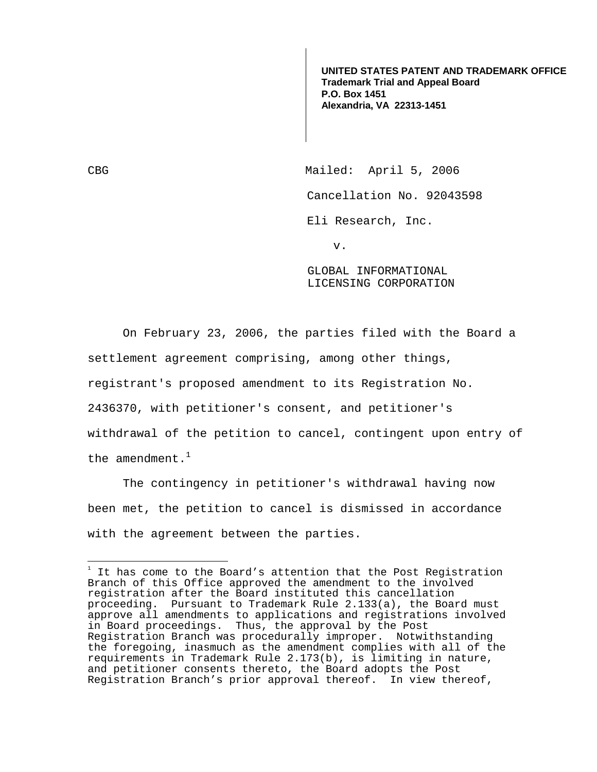**UNITED STATES PATENT AND TRADEMARK OFFICE Trademark Trial and Appeal Board P.O. Box 1451 Alexandria, VA 22313-1451**

CBG Mailed: April 5, 2006 Cancellation No. 92043598

Eli Research, Inc.

v.

GLOBAL INFORMATIONAL LICENSING CORPORATION

 On February 23, 2006, the parties filed with the Board a settlement agreement comprising, among other things, registrant's proposed amendment to its Registration No. 2436370, with petitioner's consent, and petitioner's withdrawal of the petition to cancel, contingent upon entry of the amendment. $^1$ 

 The contingency in petitioner's withdrawal having now been met, the petition to cancel is dismissed in accordance with the agreement between the parties.

 1 It has come to the Board's attention that the Post Registration Branch of this Office approved the amendment to the involved registration after the Board instituted this cancellation proceeding. Pursuant to Trademark Rule 2.133(a), the Board must approve all amendments to applications and registrations involved in Board proceedings. Thus, the approval by the Post Registration Branch was procedurally improper. Notwithstanding the foregoing, inasmuch as the amendment complies with all of the requirements in Trademark Rule 2.173(b), is limiting in nature, and petitioner consents thereto, the Board adopts the Post Registration Branch's prior approval thereof. In view thereof,